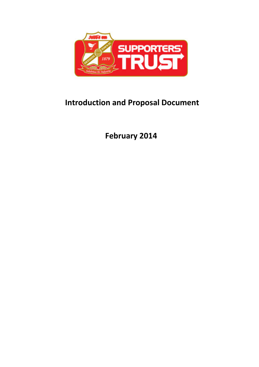

# **Introduction and Proposal Document**

**February 2014**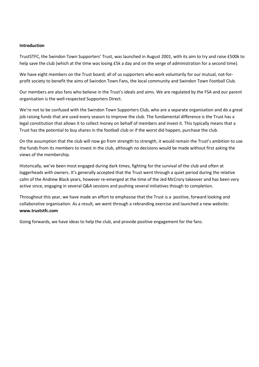#### **Introduction**

TrustSTFC, the Swindon Town Supporters' Trust, was launched in August 2001, with its aim to try and raise £500k to help save the club (which at the time was losing £5k a day and on the verge of administration for a second time).

We have eight members on the Trust board; all of us supporters who work voluntarily for our mutual, not-forprofit society to benefit the aims of Swindon Town Fans, the local community and Swindon Town Football Club.

Our members are also fans who believe in the Trust's ideals and aims. We are regulated by the FSA and our parent organisation is the well-respected Supporters Direct.

We're not to be confused with the Swindon Town Supporters Club, who are a separate organisation and do a great job raising funds that are used every season to improve the club. The fundamental difference is the Trust has a legal constitution that allows it to collect money on behalf of members and invest it. This typically means that a Trust has the potential to buy shares in the football club or if the worst did happen, purchase the club.

On the assumption that the club will now go from strength to strength, it would remain the Trust's ambition to use the funds from its members to invest in the club, although no decisions would be made without first asking the views of the membership.

Historically, we've been most engaged during dark times, fighting for the survival of the club and often at loggerheads with owners. It's generally accepted that the Trust went through a quiet period during the relative calm of the Andrew Black years, however re-emerged at the time of the Jed McCrory takeover and has been very active since, engaging in several Q&A sessions and pushing several initiatives though to completion.

Throughout this year, we have made an effort to emphasise that the Trust is a positive, forward looking and collaborative organisation. As a result, we went through a rebranding exercise and launched a new website: **www.truststfc.com**

Going forwards, we have ideas to help the club, and provide positive engagement for the fans.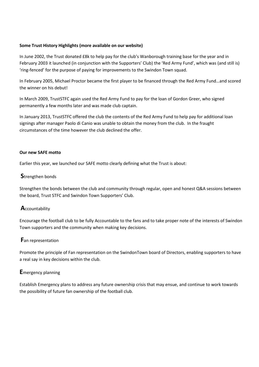## **Some Trust History Highlights (more available on our website)**

In June 2002, the Trust donated £8k to help pay for the club's Wanborough training base for the year and in February 2003 it launched (in conjunction with the Supporters' Club) the 'Red Army Fund', which was (and still is) 'ring-fenced' for the purpose of paying for improvements to the Swindon Town squad.

In February 2005, Michael Proctor became the first player to be financed through the Red Army Fund…and scored the winner on his debut!

In March 2009, TrustSTFC again used the Red Army Fund to pay for the loan of Gordon Greer, who signed permanently a few months later and was made club captain.

In January 2013, TrustSTFC offered the club the contents of the Red Army Fund to help pay for additional loan signings after manager Paolo di Canio was unable to obtain the money from the club. In the fraught circumstances of the time however the club declined the offer.

## **Our new SAFE motto**

Earlier this year, we launched our SAFE motto clearly defining what the Trust is about:

# **S**trengthen bonds

Strengthen the bonds between the club and community through regular, open and honest Q&A sessions between the board, Trust STFC and Swindon Town Supporters' Club.

# **A**ccountability

Encourage the football club to be fully Accountable to the fans and to take proper note of the interests of Swindon Town supporters and the community when making key decisions.

# **F**an representation

Promote the principle of Fan representation on the SwindonTown board of Directors, enabling supporters to have a real say in key decisions within the club.

# **E**mergency planning

Establish Emergency plans to address any future ownership crisis that may ensue, and continue to work towards the possibility of future fan ownership of the football club.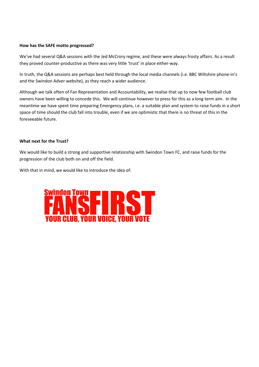## **How has the SAFE motto progressed?**

We've had several Q&A sessions with the Jed McCrory regime, and these were always frosty affairs. As a result they proved counter-productive as there was very little 'trust' in place either-way.

In truth, the Q&A sessions are perhaps best held through the local media channels (i.e. BBC Wiltshire phone-in's and the Swindon Adver website), as they reach a wider audience.

Although we talk often of Fan Representation and Accountability, we realise that up to now few football club owners have been willing to concede this. We will continue however to press for this as a long term aim. In the meantime we have spent time preparing Emergency plans, i.e. a suitable plan and system to raise funds in a short space of time should the club fall into trouble, even if we are optimistic that there is no threat of this in the foreseeable future.

## **What next for the Trust?**

We would like to build a strong and supportive relationship with Swindon Town FC, and raise funds for the progression of the club both on and off the field.

With that in mind, we would like to introduce the idea of:

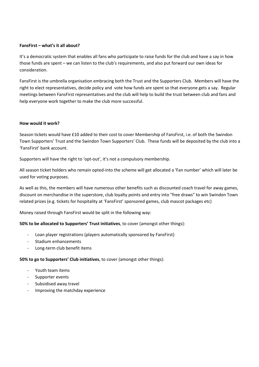#### **FansFirst – what's it all about?**

It's a democratic system that enables all fans who participate to raise funds for the club and have a say in how those funds are spent – we can listen to the club's requirements, and also put forward our own ideas for consideration.

FansFirst is the umbrella organisation embracing both the Trust and the Supporters Club. Members will have the right to elect representatives, decide policy and vote how funds are spent so that everyone gets a say. Regular meetings between FansFirst representatives and the club will help to build the trust between club and fans and help everyone work together to make the club more successful.

## **How would it work?**

Season tickets would have £10 added to their cost to cover Membership of FansFirst, i.e. of both the Swindon Town Supporters' Trust and the Swindon Town Supporters' Club. These funds will be deposited by the club into a 'FansFirst' bank account.

Supporters will have the right to 'opt-out', it's not a compulsory membership.

All season ticket holders who remain opted-into the scheme will get allocated a 'Fan number' which will later be used for voting purposes.

As well as this, the members will have numerous other benefits such as discounted coach travel for away games, discount on merchandise in the superstore, club loyalty points and entry into "free draws" to win Swindon Town related prizes (e.g. tickets for hospitality at 'FansFirst' sponsored games, club mascot packages etc)

Money raised through FansFirst would be split in the following way:

# **50% to be allocated to Supporters' Trust initiatives**, to cover (amongst other things):

- Loan player registrations (players automatically sponsored by FansFirst)
- Stadium enhancements
- Long-term club benefit items

#### **50% to go to Supporters' Club initiatives**, to cover (amongst other things):

- Youth team items
- Supporter events
- Subsidised away travel
- Improving the matchday experience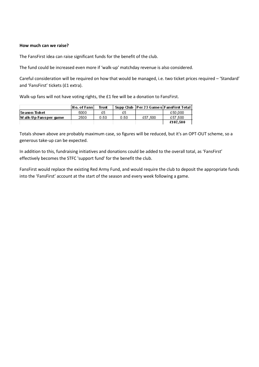## **How much can we raise?**

The FansFirst idea can raise significant funds for the benefit of the club.

The fund could be increased even more if 'walk-up' matchday revenue is also considered.

Careful consideration will be required on how that would be managed, i.e. two ticket prices required – 'Standard' and 'FansFirst' tickets (£1 extra).

Walk-up fans will not have voting rights, the £1 fee will be a donation to FansFirst.

|                       | l No. of Fansl | Trust |      |         | Supp Club  Per 23 Games FansFirst Total |
|-----------------------|----------------|-------|------|---------|-----------------------------------------|
| Season Ticket         | 5000           | £5    | £5   |         | €50,000                                 |
| W alk-Up Fansper game | 2500           | 0.50  | 0.50 | £57.500 | £57.500                                 |
|                       |                |       |      |         | £107.500                                |

Totals shown above are probably maximum case, so figures will be reduced, but it's an OPT-OUT scheme, so a generous take-up can be expected.

In addition to this, fundraising initiatives and donations could be added to the overall total, as 'FansFirst' effectively becomes the STFC 'support fund' for the benefit the club.

FansFirst would replace the existing Red Army Fund, and would require the club to deposit the appropriate funds into the 'FansFirst' account at the start of the season and every week following a game.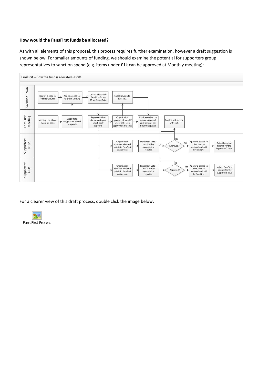#### **How would the FansFirst funds be allocated?**

As with all elements of this proposal, this process requires further examination, however a draft suggestion is shown below. For smaller amounts of funding, we should examine the potential for supporters group representatives to sanction spend (e.g. items under £1k can be approved at Monthly meeting):



For a clearer view of this draft process, double click the image below: